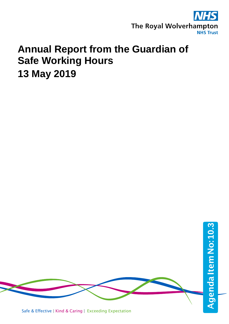

# **Annual Report from the Guardian of Safe Working Hours 13 May 2019**



Safe & Effective | Kind & Caring | Exceeding Expectation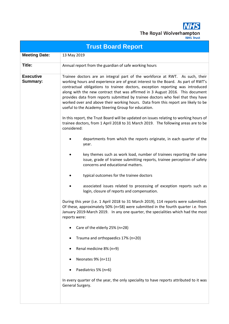

|                                     | <b>Trust Board Report</b>                                                                                                                                                                                                                                                                                                                                                                                                                                                                                                                                           |  |  |  |  |
|-------------------------------------|---------------------------------------------------------------------------------------------------------------------------------------------------------------------------------------------------------------------------------------------------------------------------------------------------------------------------------------------------------------------------------------------------------------------------------------------------------------------------------------------------------------------------------------------------------------------|--|--|--|--|
| <b>Meeting Date:</b>                | 13 May 2019                                                                                                                                                                                                                                                                                                                                                                                                                                                                                                                                                         |  |  |  |  |
| Title:                              | Annual report from the guardian of safe working hours                                                                                                                                                                                                                                                                                                                                                                                                                                                                                                               |  |  |  |  |
| <b>Executive</b><br><b>Summary:</b> | Trainee doctors are an integral part of the workforce at RWT. As such, their<br>working hours and experience are of great interest to the Board. As part of RWT's<br>contractual obligations to trainee doctors, exception reporting was introduced<br>along with the new contract that was affirmed in 3 August 2016. This document<br>provides data from reports submitted by trainee doctors who feel that they have<br>worked over and above their working hours. Data from this report are likely to be<br>useful to the Academy Steering Group for education. |  |  |  |  |
|                                     | In this report, the Trust Board will be updated on issues relating to working hours of<br>trainee doctors, from 1 April 2018 to 31 March 2019. The following areas are to be<br>considered:                                                                                                                                                                                                                                                                                                                                                                         |  |  |  |  |
|                                     | departments from which the reports originate, in each quarter of the<br>year.                                                                                                                                                                                                                                                                                                                                                                                                                                                                                       |  |  |  |  |
|                                     | key themes such as work load, number of trainees reporting the same<br>issue, grade of trainee submitting reports, trainee perception of safety<br>concerns and educational matters.                                                                                                                                                                                                                                                                                                                                                                                |  |  |  |  |
|                                     | typical outcomes for the trainee doctors                                                                                                                                                                                                                                                                                                                                                                                                                                                                                                                            |  |  |  |  |
|                                     | associated issues related to processing of exception reports such as<br>login, closure of reports and compensation.                                                                                                                                                                                                                                                                                                                                                                                                                                                 |  |  |  |  |
|                                     | During this year (i.e. 1 April 2018 to 31 March 2019), 114 reports were submitted.<br>Of these, approximately 50% (n=58) were submitted in the fourth quarter i.e. from<br>January 2019-March 2019. In any one quarter, the specialities which had the most<br>reports were:                                                                                                                                                                                                                                                                                        |  |  |  |  |
|                                     | Care of the elderly 25% (n=28)                                                                                                                                                                                                                                                                                                                                                                                                                                                                                                                                      |  |  |  |  |
|                                     | Trauma and orthopaedics 17% (n=20)                                                                                                                                                                                                                                                                                                                                                                                                                                                                                                                                  |  |  |  |  |
|                                     | Renal medicine 8% (n=9)                                                                                                                                                                                                                                                                                                                                                                                                                                                                                                                                             |  |  |  |  |
|                                     | Neonates 9% (n=11)                                                                                                                                                                                                                                                                                                                                                                                                                                                                                                                                                  |  |  |  |  |
|                                     | Paediatrics 5% (n=6)                                                                                                                                                                                                                                                                                                                                                                                                                                                                                                                                                |  |  |  |  |
|                                     | In every quarter of the year, the only speciality to have reports attributed to it was<br>General Surgery.                                                                                                                                                                                                                                                                                                                                                                                                                                                          |  |  |  |  |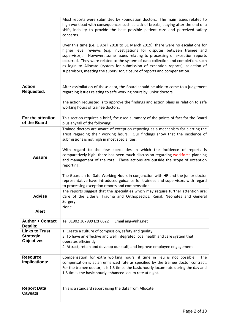|                                                                            | Most reports were submitted by Foundation doctors. The main issues related to<br>high workload with consequences such as lack of breaks, staying after the end of a<br>shift, inability to provide the best possible patient care and perceived safety<br>concerns.                                                                                                                                                                                                                                                                                                                                                                                                                                                                                                                                                                                                                                |
|----------------------------------------------------------------------------|----------------------------------------------------------------------------------------------------------------------------------------------------------------------------------------------------------------------------------------------------------------------------------------------------------------------------------------------------------------------------------------------------------------------------------------------------------------------------------------------------------------------------------------------------------------------------------------------------------------------------------------------------------------------------------------------------------------------------------------------------------------------------------------------------------------------------------------------------------------------------------------------------|
|                                                                            | Over this time (i.e. 1 April 2018 to 31 March 2019), there were no escalations for<br>higher level reviews (e.g. investigations for disputes between trainee and<br>However, some issues relating to processing of exception reports<br>supervisor).<br>occurred. They were related to the system of data collection and completion, such<br>as login to Allocate (system for submission of exception reports), selection of<br>supervisors, meeting the supervisor, closure of reports and compensation.                                                                                                                                                                                                                                                                                                                                                                                          |
| <b>Action</b><br><b>Requested:</b>                                         | After assimilation of these data, the Board should be able to come to a judgement<br>regarding issues relating to safe working hours by junior doctors.                                                                                                                                                                                                                                                                                                                                                                                                                                                                                                                                                                                                                                                                                                                                            |
|                                                                            | The action requested is to approve the findings and action plans in relation to safe<br>working hours of trainee doctors.                                                                                                                                                                                                                                                                                                                                                                                                                                                                                                                                                                                                                                                                                                                                                                          |
| For the attention<br>of the Board                                          | This section requires a brief, focussed summary of the points of fact for the Board<br>plus any/all of the following:                                                                                                                                                                                                                                                                                                                                                                                                                                                                                                                                                                                                                                                                                                                                                                              |
| <b>Assure</b><br><b>Advise</b><br><b>Alert</b>                             | Trainee doctors are aware of exception reporting as a mechanism for alerting the<br>Trust regarding their working hours. Our findings show that the incidence of<br>submissions is not high in most specialities.<br>With regard to the few specialities in which the incidence of reports is<br>comparatively high, there has been much discussion regarding workforce planning<br>and management of the rota. These actions are outside the scope of exception<br>reporting.<br>The Guardian for Safe Working Hours in conjunction with HR and the junior doctor<br>representative have introduced guidance for trainees and supervisors with regard<br>to processing exception reports and compensation.<br>The reports suggest that the specialities which may require further attention are:<br>Care of the Elderly, Trauma and Orthopaedics, Renal, Neonates and General<br>Surgery.<br>None |
| <b>Author + Contact</b>                                                    | Email ang@nhs.net<br>Tel 01902 307999 Ext 6622                                                                                                                                                                                                                                                                                                                                                                                                                                                                                                                                                                                                                                                                                                                                                                                                                                                     |
| Details:<br><b>Links to Trust</b><br><b>Strategic</b><br><b>Objectives</b> | 1. Create a culture of compassion, safety and quality<br>3. To have an effective and well integrated local health and care system that<br>operates efficiently<br>4. Attract, retain and develop our staff, and improve employee engagement                                                                                                                                                                                                                                                                                                                                                                                                                                                                                                                                                                                                                                                        |
| <b>Resource</b><br>Implications:                                           | Compensation for extra working hours, if time in lieu is not possible.<br>The<br>compensation is at an enhanced rate as specified by the trainee doctor contract.<br>For the trainee doctor, it is 1.5 times the basic hourly locum rate during the day and<br>1.5 times the basic hourly enhanced locum rate at night.                                                                                                                                                                                                                                                                                                                                                                                                                                                                                                                                                                            |
| <b>Report Data</b><br><b>Caveats</b>                                       | This is a standard report using the data from Allocate.                                                                                                                                                                                                                                                                                                                                                                                                                                                                                                                                                                                                                                                                                                                                                                                                                                            |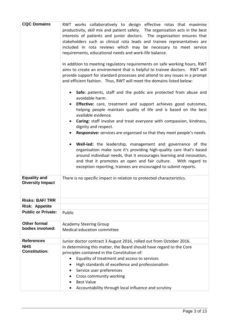| <b>CQC Domains</b>                             | RWT works collaboratively to design effective rotas that maximise<br>productivity, skill mix and patient safety. The organisation acts in the best<br>interests of patients and junior doctors. The organisation ensures that<br>stakeholders such as clinical rota leads and trainee representatives are<br>included in rota reviews which may be necessary to meet service<br>requirements, educational needs and work-life balance.<br>In addition to meeting regulatory requirements on safe working hours, RWT<br>aims to create an environment that is helpful to trainee doctors. RWT will<br>provide support for standard processes and attend to any issues in a prompt<br>and efficient fashion. Thus, RWT will meet the domains listed below:<br>Safe: patients, staff and the public are protected from abuse and<br>avoidable harm.<br><b>Effective:</b> care, treatment and support achieves good outcomes,<br>helping people maintain quality of life and is based on the best<br>available evidence.<br>Caring: staff involve and treat everyone with compassion, kindness,<br>dignity and respect.<br>Responsive: services are organised so that they meet people's needs.<br>Well-led: the leadership, management and governance of the<br>organisation make sure it's providing high-quality care that's based<br>around individual needs, that it encourages learning and innovation,<br>and that it promotes an open and fair culture.  With regard to<br>exception reporting, trainees are encouraged to submit reports. |
|------------------------------------------------|------------------------------------------------------------------------------------------------------------------------------------------------------------------------------------------------------------------------------------------------------------------------------------------------------------------------------------------------------------------------------------------------------------------------------------------------------------------------------------------------------------------------------------------------------------------------------------------------------------------------------------------------------------------------------------------------------------------------------------------------------------------------------------------------------------------------------------------------------------------------------------------------------------------------------------------------------------------------------------------------------------------------------------------------------------------------------------------------------------------------------------------------------------------------------------------------------------------------------------------------------------------------------------------------------------------------------------------------------------------------------------------------------------------------------------------------------------------------------------------------------------------------------------------------|
| <b>Equality and</b><br><b>Diversity Impact</b> | There is no specific impact in relation to protected characteristics.                                                                                                                                                                                                                                                                                                                                                                                                                                                                                                                                                                                                                                                                                                                                                                                                                                                                                                                                                                                                                                                                                                                                                                                                                                                                                                                                                                                                                                                                          |
| <b>Risks: BAF/TRR</b>                          |                                                                                                                                                                                                                                                                                                                                                                                                                                                                                                                                                                                                                                                                                                                                                                                                                                                                                                                                                                                                                                                                                                                                                                                                                                                                                                                                                                                                                                                                                                                                                |
| <b>Risk: Appetite</b>                          |                                                                                                                                                                                                                                                                                                                                                                                                                                                                                                                                                                                                                                                                                                                                                                                                                                                                                                                                                                                                                                                                                                                                                                                                                                                                                                                                                                                                                                                                                                                                                |
| <b>Public or Private:</b>                      | Public                                                                                                                                                                                                                                                                                                                                                                                                                                                                                                                                                                                                                                                                                                                                                                                                                                                                                                                                                                                                                                                                                                                                                                                                                                                                                                                                                                                                                                                                                                                                         |
| <b>Other formal</b><br>bodies involved:        | <b>Academy Steering Group</b><br>Medical education committee                                                                                                                                                                                                                                                                                                                                                                                                                                                                                                                                                                                                                                                                                                                                                                                                                                                                                                                                                                                                                                                                                                                                                                                                                                                                                                                                                                                                                                                                                   |
| <b>References</b>                              | Junior doctor contract 3 August 2016, rolled out from October 2016.                                                                                                                                                                                                                                                                                                                                                                                                                                                                                                                                                                                                                                                                                                                                                                                                                                                                                                                                                                                                                                                                                                                                                                                                                                                                                                                                                                                                                                                                            |
| <b>NHS</b>                                     | In determining this matter, the Board should have regard to the Core                                                                                                                                                                                                                                                                                                                                                                                                                                                                                                                                                                                                                                                                                                                                                                                                                                                                                                                                                                                                                                                                                                                                                                                                                                                                                                                                                                                                                                                                           |
| <b>Constitution:</b>                           | principles contained in the Constitution of:                                                                                                                                                                                                                                                                                                                                                                                                                                                                                                                                                                                                                                                                                                                                                                                                                                                                                                                                                                                                                                                                                                                                                                                                                                                                                                                                                                                                                                                                                                   |
|                                                | Equality of treatment and access to services                                                                                                                                                                                                                                                                                                                                                                                                                                                                                                                                                                                                                                                                                                                                                                                                                                                                                                                                                                                                                                                                                                                                                                                                                                                                                                                                                                                                                                                                                                   |
|                                                | High standards of excellence and professionalism                                                                                                                                                                                                                                                                                                                                                                                                                                                                                                                                                                                                                                                                                                                                                                                                                                                                                                                                                                                                                                                                                                                                                                                                                                                                                                                                                                                                                                                                                               |
|                                                | Service user preferences                                                                                                                                                                                                                                                                                                                                                                                                                                                                                                                                                                                                                                                                                                                                                                                                                                                                                                                                                                                                                                                                                                                                                                                                                                                                                                                                                                                                                                                                                                                       |
|                                                | Cross community working                                                                                                                                                                                                                                                                                                                                                                                                                                                                                                                                                                                                                                                                                                                                                                                                                                                                                                                                                                                                                                                                                                                                                                                                                                                                                                                                                                                                                                                                                                                        |
|                                                | <b>Best Value</b>                                                                                                                                                                                                                                                                                                                                                                                                                                                                                                                                                                                                                                                                                                                                                                                                                                                                                                                                                                                                                                                                                                                                                                                                                                                                                                                                                                                                                                                                                                                              |
|                                                | Accountability through local influence and scrutiny                                                                                                                                                                                                                                                                                                                                                                                                                                                                                                                                                                                                                                                                                                                                                                                                                                                                                                                                                                                                                                                                                                                                                                                                                                                                                                                                                                                                                                                                                            |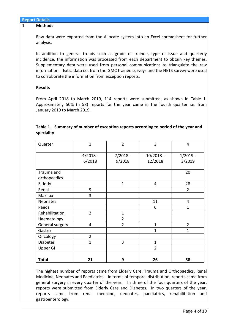| <b>Results</b>                                                                                                                                                                                                                                                                                            |                      |                      |                        |                      |
|-----------------------------------------------------------------------------------------------------------------------------------------------------------------------------------------------------------------------------------------------------------------------------------------------------------|----------------------|----------------------|------------------------|----------------------|
|                                                                                                                                                                                                                                                                                                           |                      |                      |                        |                      |
| From April 2018 to March 2019, 114 reports were submitted, as shown in Table 1.<br>Approximately 50% (n=58) reports for the year came in the fourth quarter i.e. from<br>January 2019 to March 2019.<br>Table 1. Summary of number of exception reports according to period of the year and<br>speciality |                      |                      |                        |                      |
| Quarter                                                                                                                                                                                                                                                                                                   | $\mathbf{1}$         | $\overline{2}$       | 3                      | 4                    |
|                                                                                                                                                                                                                                                                                                           | $4/2018 -$<br>6/2018 | $7/2018 -$<br>9/2018 | $10/2018 -$<br>12/2018 | $1/2019 -$<br>3/2019 |
| Trauma and<br>orthopaedics                                                                                                                                                                                                                                                                                |                      |                      |                        | 20                   |
| Elderly                                                                                                                                                                                                                                                                                                   |                      | $\mathbf{1}$         | 4                      | 28                   |
| Renal                                                                                                                                                                                                                                                                                                     | 9                    |                      |                        | $\overline{2}$       |
| Max fax                                                                                                                                                                                                                                                                                                   | 3                    |                      |                        |                      |
| <b>Neonates</b>                                                                                                                                                                                                                                                                                           |                      |                      | 11                     | $\overline{4}$       |
| Paeds                                                                                                                                                                                                                                                                                                     |                      |                      | 6                      | $\mathbf{1}$         |
| Rehabilitation                                                                                                                                                                                                                                                                                            | $\overline{2}$       | $\mathbf{1}$         |                        |                      |
| Haematology                                                                                                                                                                                                                                                                                               |                      | $\overline{2}$       |                        |                      |
| General surgery                                                                                                                                                                                                                                                                                           | $\overline{4}$       | $\overline{2}$       | $\mathbf{1}$           | $\overline{2}$       |
| Gastro                                                                                                                                                                                                                                                                                                    |                      |                      | $\mathbf{1}$           | $\mathbf{1}$         |
| Oncology                                                                                                                                                                                                                                                                                                  | $\overline{2}$       |                      |                        |                      |
| <b>Diabetes</b>                                                                                                                                                                                                                                                                                           | $\mathbf{1}$         | $\overline{3}$       | $\mathbf{1}$           |                      |
| <b>Upper GI</b>                                                                                                                                                                                                                                                                                           |                      |                      | $\overline{2}$         |                      |
|                                                                                                                                                                                                                                                                                                           |                      |                      |                        |                      |

The highest number of reports came from Elderly Care, Trauma and Orthopaedics, Renal Medicine, Neonates and Paediatrics. In terms of temporal distribution, reports came from general surgery in every quarter of the year. In three of the four quarters of the year, reports were submitted from Elderly Care and Diabetes. In two quarters of the year, reports came from renal medicine, neonates, paediatrics, rehabilitation and gastroenterology.

# **Report Details**

# 1 **Methods**

Raw data were exported from the Allocate system into an Excel spreadsheet for further analysis.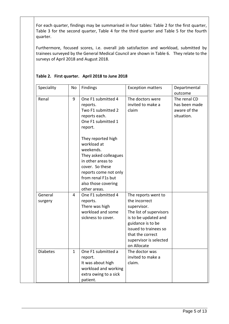For each quarter, findings may be summarised in four tables: Table 2 for the first quarter, Table 3 for the second quarter, Table 4 for the third quarter and Table 5 for the fourth quarter.

Furthermore, focused scores, i.e. overall job satisfaction and workload, submitted by trainees surveyed by the General Medical Council are shown in Table 6. They relate to the surveys of April 2018 and August 2018.

| Speciality         | No           | Findings                                                                                                                                                                                              | <b>Exception matters</b>                                                                                                                                                                                          | Departmental<br>outcome                                     |
|--------------------|--------------|-------------------------------------------------------------------------------------------------------------------------------------------------------------------------------------------------------|-------------------------------------------------------------------------------------------------------------------------------------------------------------------------------------------------------------------|-------------------------------------------------------------|
| Renal              | 9            | One F1 submitted 4<br>reports.<br>Two F1 submitted 2<br>reports each.<br>One F1 submitted 1<br>report.                                                                                                | The doctors were<br>invited to make a<br>claim                                                                                                                                                                    | The renal CD<br>has been made<br>aware of the<br>situation. |
|                    |              | They reported high<br>workload at<br>weekends.<br>They asked colleagues<br>in other areas to<br>cover. So these<br>reports come not only<br>from renal F1s but<br>also those covering<br>other areas. |                                                                                                                                                                                                                   |                                                             |
| General<br>surgery | 4            | One F1 submitted 4<br>reports.<br>There was high<br>workload and some<br>sickness to cover.                                                                                                           | The reports went to<br>the incorrect<br>supervisor.<br>The list of supervisors<br>is to be updated and<br>guidance is to be<br>issued to trainees so<br>that the correct<br>supervisor is selected<br>on Allocate |                                                             |
| <b>Diabetes</b>    | $\mathbf{1}$ | One F1 submitted a<br>report.<br>It was about high<br>workload and working<br>extra owing to a sick<br>patient.                                                                                       | The doctor was<br>invited to make a<br>claim.                                                                                                                                                                     |                                                             |

## **Table 2. First quarter. April 2018 to June 2018**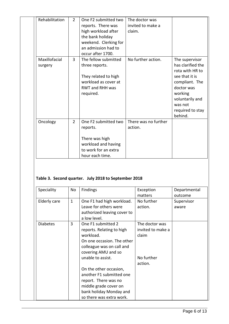| Rehabilitation           | $\overline{2}$ | One F2 submitted two<br>reports. There was<br>high workload after<br>the bank holiday<br>weekend. Clerking for<br>an admission had to<br>occur after 1700. | The doctor was<br>invited to make a<br>claim. |                                                                                                                                                                                  |
|--------------------------|----------------|------------------------------------------------------------------------------------------------------------------------------------------------------------|-----------------------------------------------|----------------------------------------------------------------------------------------------------------------------------------------------------------------------------------|
| Maxillofacial<br>surgery | 3              | The fellow submitted<br>three reports.<br>They related to high<br>workload as cover at<br>RWT and RHH was<br>required.                                     | No further action.                            | The supervisor<br>has clarified the<br>rota with HR to<br>see that it is<br>compliant. The<br>doctor was<br>working<br>voluntarily and<br>was not<br>required to stay<br>behind. |
| Oncology                 | $\overline{2}$ | One F2 submitted two<br>reports.<br>There was high<br>workload and having<br>to work for an extra<br>hour each time.                                       | There was no further<br>action.               |                                                                                                                                                                                  |

# **Table 3. Second quarter. July 2018 to September 2018**

| Speciality      | No           | Findings                                    | Exception         | Departmental |
|-----------------|--------------|---------------------------------------------|-------------------|--------------|
|                 |              |                                             | matters           | outcome      |
| Elderly care    | $\mathbf{1}$ | One F1 had high workload.                   | No further        | Supervisor   |
|                 |              | Leave for others were                       | action.           | aware        |
|                 |              | authorized leaving cover to<br>a low level. |                   |              |
| <b>Diabetes</b> | 3            | One F1 submitted 2                          | The doctor was    |              |
|                 |              | reports. Relating to high                   | invited to make a |              |
|                 |              | workload.                                   | claim             |              |
|                 |              | On one occasion. The other                  |                   |              |
|                 |              | colleague was on call and                   |                   |              |
|                 |              | covering AMU and so                         |                   |              |
|                 |              | unable to assist.                           | No further        |              |
|                 |              |                                             | action.           |              |
|                 |              | On the other occasion,                      |                   |              |
|                 |              | another F1 submitted one                    |                   |              |
|                 |              | report. There was no                        |                   |              |
|                 |              | middle grade cover on                       |                   |              |
|                 |              | bank holiday Monday and                     |                   |              |
|                 |              | so there was extra work.                    |                   |              |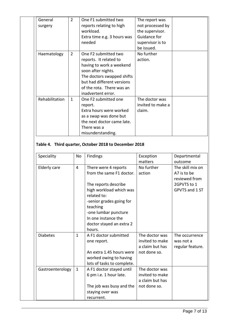| General        | $\overline{2}$ | One F1 submitted two        | The report was    |  |
|----------------|----------------|-----------------------------|-------------------|--|
| surgery        |                | reports relating to high    | not processed by  |  |
|                |                | workload.                   | the supervisor.   |  |
|                |                | Extra time e.g. 3 hours was | Guidance for      |  |
|                |                | needed                      | supervisor is to  |  |
|                |                |                             | be issued.        |  |
| Haematology    | $\overline{2}$ | One F2 submitted two        | No further        |  |
|                |                | reports. It related to      | action.           |  |
|                |                | having to work a weekend    |                   |  |
|                |                | soon after nights.          |                   |  |
|                |                | The doctors swapped shifts  |                   |  |
|                |                | but had different versions  |                   |  |
|                |                | of the rota. There was an   |                   |  |
|                |                | inadvertent error.          |                   |  |
| Rehabilitation | $\mathbf{1}$   | One F2 submitted one        | The doctor was    |  |
|                |                | report.                     | invited to make a |  |
|                |                | Extra hours were worked     | claim.            |  |
|                |                | as a swap was done but      |                   |  |
|                |                | the next doctor came late.  |                   |  |
|                |                | There was a                 |                   |  |
|                |                | misunderstanding.           |                   |  |

# **Table 4. Third quarter, October 2018 to December 2018**

| Speciality       | <b>No</b>      | <b>Findings</b>            | Exception       | Departmental     |
|------------------|----------------|----------------------------|-----------------|------------------|
|                  |                |                            | matters         | outcome          |
| Elderly care     | $\overline{4}$ | There were 4 reports       | No further      | The skill mix on |
|                  |                | from the same F1 doctor.   | action          | A7 is to be      |
|                  |                |                            |                 | reviewed from    |
|                  |                | The reports describe       |                 | 2GPVTS to 1      |
|                  |                | high workload which was    |                 | GPVTS and 1 ST   |
|                  |                | related to:                |                 |                  |
|                  |                | -senior grades going for   |                 |                  |
|                  |                | teaching                   |                 |                  |
|                  |                | -one lumbar puncture       |                 |                  |
|                  |                | In one instance the        |                 |                  |
|                  |                | doctor stayed an extra 2   |                 |                  |
|                  |                | hours.                     |                 |                  |
| <b>Diabetes</b>  | $\mathbf{1}$   | A F1 doctor submitted      | The doctor was  | The occurrence   |
|                  |                | one report.                | invited to make | was not a        |
|                  |                |                            | a claim but has | regular feature. |
|                  |                | An extra 1.45 hours were   | not done so.    |                  |
|                  |                | worked owing to having     |                 |                  |
|                  |                | lots of tasks to complete. |                 |                  |
| Gastroenterology | $\mathbf{1}$   | A F1 doctor stayed until   | The doctor was  |                  |
|                  |                | 6 pm i.e. 1 hour late.     | invited to make |                  |
|                  |                |                            | a claim but has |                  |
|                  |                | The job was busy and the   | not done so.    |                  |
|                  |                | staying over was           |                 |                  |
|                  |                | recurrent.                 |                 |                  |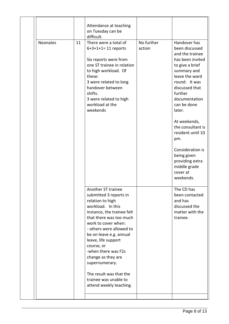| Neonates | 11 | Attendance at teaching<br>on Tuesday can be<br>difficult.<br>There were a total of<br>$6+3+1+1=11$ reports<br>Six reports were from<br>one ST trainee in relation<br>to high workload. Of<br>these:<br>3 were related to long<br>handover between<br>shifts.<br>3 were related to high<br>workload at the                                                                                                       | No further<br>action | Handover has<br>been discussed<br>and the trainee<br>has been invited<br>to give a brief<br>summary and<br>leave the ward<br>round. It was<br>discussed that<br>further<br>documentation<br>can be done |
|----------|----|-----------------------------------------------------------------------------------------------------------------------------------------------------------------------------------------------------------------------------------------------------------------------------------------------------------------------------------------------------------------------------------------------------------------|----------------------|---------------------------------------------------------------------------------------------------------------------------------------------------------------------------------------------------------|
|          |    | weekends                                                                                                                                                                                                                                                                                                                                                                                                        |                      | later.<br>At weekends,<br>the consultant is<br>resident until 10<br>pm.<br>Consideration is<br>being given<br>providing extra<br>middle grade<br>cover at<br>weekends.                                  |
|          |    | Another ST trainee<br>submitted 3 reports in<br>relation to high<br>workload. In this<br>instance, the trainee felt<br>that there was too much<br>work to cover when:<br>- others were allowed to<br>be on leave e.g. annual<br>leave, life support<br>course, or<br>-when there was F2s<br>change as they are<br>supernumerary.<br>The result was that the<br>trainee was unable to<br>attend weekly teaching. |                      | The CD has<br>been contacted<br>and has<br>discussed the<br>matter with the<br>trainee.                                                                                                                 |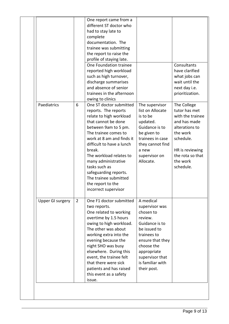|                  |                | One report came from a<br>different ST doctor who<br>had to stay late to<br>complete<br>documentation. The<br>trainee was submitting<br>the report to raise the<br>profile of staying late.<br>One Foundation trainee<br>reported high workload<br>such as high turnover,<br>discharge summarises<br>and absence of senior<br>trainees in the afternoon                                                     |                                                                                                                                                                                                             | Consultants<br>have clarified<br>what jobs can<br>wait until the<br>next day i.e.<br>prioritization.                                                                        |
|------------------|----------------|-------------------------------------------------------------------------------------------------------------------------------------------------------------------------------------------------------------------------------------------------------------------------------------------------------------------------------------------------------------------------------------------------------------|-------------------------------------------------------------------------------------------------------------------------------------------------------------------------------------------------------------|-----------------------------------------------------------------------------------------------------------------------------------------------------------------------------|
| Paediatrics      | 6              | owing to clinics<br>One ST doctor submitted<br>reports. The reports<br>relate to high workload<br>that cannot be done<br>between 9am to 5 pm.<br>The trainee comes to<br>work at 8 am and finds it<br>difficult to have a lunch<br>break.<br>The workload relates to<br>many administrative<br>tasks such as<br>safeguarding reports.<br>The trainee submitted<br>the report to the<br>incorrect supervisor | The supervisor<br>list on Allocate<br>is to be<br>updated.<br>Guidance is to<br>be given to<br>trainees in case<br>they cannot find<br>a new<br>supervisor on<br>Allocate.                                  | The College<br>tutor has met<br>with the trainee<br>and has made<br>alterations to<br>the work<br>schedule.<br>HR is reviewing<br>the rota so that<br>the work<br>schedule. |
| Upper GI surgery | $\overline{2}$ | One F1 doctor submitted<br>two reports.<br>One related to working<br>overtime by 1.5 hours<br>owing to high workload.<br>The other was about<br>working extra into the<br>evening because the<br>night SHO was busy<br>elsewhere. During this<br>event, the trainee felt<br>that there were sick<br>patients and has raised<br>this event as a safety<br>issue.                                             | A medical<br>supervisor was<br>chosen to<br>review.<br>Guidance is to<br>be issued to<br>trainees to<br>ensure that they<br>choose the<br>appropriate<br>supervisor that<br>is familiar with<br>their post. |                                                                                                                                                                             |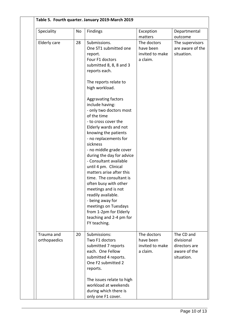| Speciality                 | No | <b>Findings</b>                                                                                                                                                                                                                                                                                                                                                                                                                                                                                                                                                                                                                                                                                      | Exception                                                          | Departmental                                                            |
|----------------------------|----|------------------------------------------------------------------------------------------------------------------------------------------------------------------------------------------------------------------------------------------------------------------------------------------------------------------------------------------------------------------------------------------------------------------------------------------------------------------------------------------------------------------------------------------------------------------------------------------------------------------------------------------------------------------------------------------------------|--------------------------------------------------------------------|-------------------------------------------------------------------------|
| Elderly care               | 28 | Submissions.<br>One ST1 submitted one<br>report.<br>Four F1 doctors<br>submitted 8, 8, 8 and 3<br>reports each.<br>The reports relate to<br>high workload.<br>Aggravating factors<br>include having:<br>- only two doctors most<br>of the time<br>- to cross cover the<br>Elderly wards and not<br>knowing the patients<br>- no replacements for<br>sickness<br>- no middle grade cover<br>during the day for advice<br>- Consultant available<br>until 4 pm. Clinical<br>matters arise after this<br>time. The consultant is<br>often busy with other<br>meetings and is not<br>readily available.<br>- being away for<br>meetings on Tuesdays<br>from 1-2pm for Elderly<br>teaching and 2-4 pm for | matters<br>The doctors<br>have been<br>invited to make<br>a claim. | outcome<br>The supervisors<br>are aware of the<br>situation.            |
| Trauma and<br>orthopaedics | 20 | FY teaching.<br>Submissions:<br>Two F1 doctors<br>submitted 7 reports<br>each. One Fellow<br>submitted 4 reports.<br>One F2 submitted 2<br>reports.                                                                                                                                                                                                                                                                                                                                                                                                                                                                                                                                                  | The doctors<br>have been<br>invited to make<br>a claim.            | The CD and<br>divisional<br>directors are<br>aware of the<br>situation. |
|                            |    | The issues relate to high<br>workload at weekends<br>during which there is<br>only one F1 cover.                                                                                                                                                                                                                                                                                                                                                                                                                                                                                                                                                                                                     |                                                                    |                                                                         |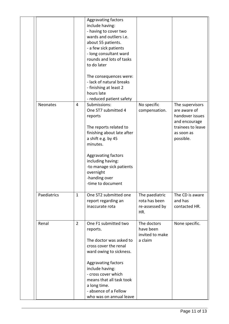|             |                | Aggravating factors<br>include having:<br>- having to cover two<br>wards and outliers i.e.<br>about 55 patients.<br>- a few sick patients<br>- long consultant ward<br>rounds and lots of tasks<br>to do later<br>The consequences were:<br>- lack of natural breaks<br>- finishing at least 2<br>hours late<br>- reduced patient safety |                                                          |                                                                                                                     |
|-------------|----------------|------------------------------------------------------------------------------------------------------------------------------------------------------------------------------------------------------------------------------------------------------------------------------------------------------------------------------------------|----------------------------------------------------------|---------------------------------------------------------------------------------------------------------------------|
| Neonates    | 4              | Submissions:<br>One ST7 submitted 4<br>reports<br>The reports related to<br>finishing about late after<br>a shift e.g. by 45<br>minutes.<br>Aggravating factors<br>including having:<br>-to manage sick patients<br>overnight<br>-handing over<br>-time to document                                                                      | No specific<br>compensation.                             | The supervisors<br>are aware of<br>handover issues<br>and encourage<br>trainees to leave<br>as soon as<br>possible. |
| Paediatrics | $\mathbf{1}$   | One ST2 submitted one<br>report regarding an<br>inaccurate rota                                                                                                                                                                                                                                                                          | The paediatric<br>rota has been<br>re-assessed by<br>HR. | The CD is aware<br>and has<br>contacted HR.                                                                         |
| Renal       | $\overline{2}$ | One F1 submitted two<br>reports.<br>The doctor was asked to<br>cross cover the renal<br>ward owing to sickness.<br>Aggravating factors<br>include having:<br>- cross cover which<br>means that all task took<br>a long time.<br>- absence of a Fellow<br>who was on annual leave                                                         | The doctors<br>have been<br>invited to make<br>a claim   | None specific.                                                                                                      |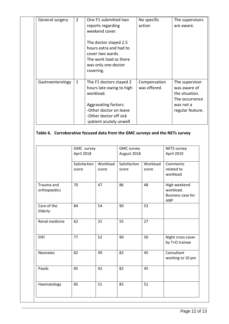| General surgery  | $\overline{2}$ | One F1 submitted two<br>reports regarding<br>weekend cover.                                                                                                                    | No specific<br>action        | The supervisors<br>are aware.                                                                       |
|------------------|----------------|--------------------------------------------------------------------------------------------------------------------------------------------------------------------------------|------------------------------|-----------------------------------------------------------------------------------------------------|
|                  |                | The doctor stayed 2.5<br>hours extra and had to<br>cover two wards.<br>The work load as there<br>was only one doctor<br>covering.                                              |                              |                                                                                                     |
| Gastroenterology | $\mathbf{1}$   | The F1 doctors stayed 2<br>hours late owing to high<br>workload.<br><b>Aggravating factors:</b><br>-Other doctor on leave<br>-Other doctor off sick<br>-patient acutely unwell | Compensation<br>was offered. | The supervisor<br>was aware of<br>the situation.<br>The occurrence<br>was not a<br>regular feature. |

# **Table 6. Corroborative focused data from the GMC surveys and the NETs survey**

|                            | GMC survey<br>April 2018 |                   | <b>GMC survey</b><br>August 2018 |                   | <b>NETS survey</b><br>April 2019                             |
|----------------------------|--------------------------|-------------------|----------------------------------|-------------------|--------------------------------------------------------------|
|                            | Satisfaction<br>score    | Workload<br>score | Satisfaction<br>score            | Workload<br>score | Comments<br>related to<br>workload                           |
| Trauma and<br>orthopaedics | 70                       | 47                | 86                               | 48                | High weekend<br>workload.<br><b>Business case for</b><br>ANP |
| Care of the<br>Elderly     | 84                       | 54                | 90                               | 53                |                                                              |
| Renal medicine             | 62                       | 31                | 55                               | 27                |                                                              |
| <b>ENT</b>                 | 77                       | 52                | 90                               | 50                | Night cross cover<br>by T+O trainee                          |
| Neonates                   | 82                       | 49                | 82                               | 45                | Consultant<br>working to 10 pm                               |
| Paeds                      | 85                       | 42                | 82                               | 45                |                                                              |
| Haematology                | 85                       | 51                | 85                               | 51                |                                                              |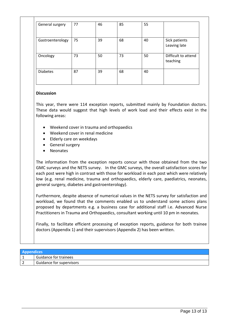| General surgery  | 77 | 46 | 85 | 55 |                                 |
|------------------|----|----|----|----|---------------------------------|
| Gastroenterology | 75 | 39 | 68 | 40 | Sick patients<br>Leaving late   |
| Oncology         | 73 | 50 | 73 | 50 | Difficult to attend<br>teaching |
| <b>Diabetes</b>  | 87 | 39 | 68 | 40 |                                 |

## **Discussion**

This year, there were 114 exception reports, submitted mainly by Foundation doctors. These data would suggest that high levels of work load and their effects exist in the following areas:

- Weekend cover in trauma and orthopaedics
- Weekend cover in renal medicine
- Elderly care on weekdays
- General surgery
- Neonates

The information from the exception reports concur with those obtained from the two GMC surveys and the NETS survey. In the GMC surveys, the overall satisfaction scores for each post were high in contrast with those for workload in each post which were relatively low (e.g. renal medicine, trauma and orthopaedics, elderly care, paediatrics, neonates, general surgery, diabetes and gastroenterology).

Furthermore, despite absence of numerical values in the NETS survey for satisfaction and workload, we found that the comments enabled us to understand some actions plans proposed by departments e.g. a business case for additional staff i.e. Advanced Nurse Practitioners in Trauma and Orthopaedics, consultant working until 10 pm in neonates.

Finally, to facilitate efficient processing of exception reports, guidance for both trainee doctors (Appendix 1) and their supervisors (Appendix 2) has been written.

| <b>Appendices</b> |                              |
|-------------------|------------------------------|
|                   | <b>Guidance for trainees</b> |
|                   | Guidance for supervisors     |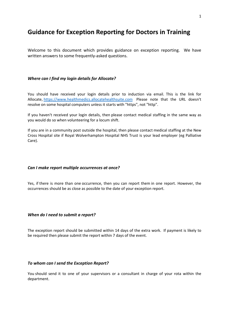# **Guidance for Exception Reporting for Doctors in Training**

Welcome to this document which provides guidance on exception reporting. We have written answers to some frequently-asked questions.

#### *Where can I find my login details for Allocate?*

You should have received your login details prior to induction via email. This is the link for Allocate, [https://www.healthmedics.allocatehealthsuite.com](https://www.healthmedics.allocatehealthsuite.com/) Please note that the URL doesn't resolve on some hospital computers unless it starts with "https", not "http".

If you haven't received your login details, then please contact medical staffing in the same way as you would do so when volunteering for a locum shift.

If you are in a community post outside the hospital, then please contact medical staffing at the New Cross Hospital site if Royal Wolverhampton Hospital NHS Trust is your lead employer (eg Palliative Care).

#### *Can I make report multiple occurrences at once?*

Yes, if there is more than one occurrence, then you can report them in one report. However, the occurrences should be as close as possible to the date of your exception report.

#### *When do I need to submit a report?*

The exception report should be submitted within 14 days of the extra work. If payment is likely to be required then please submit the report within 7 days of the event.

#### *To whom can I send the Exception Report?*

You should send it to one of your supervisors or a consultant in charge of your rota within the department.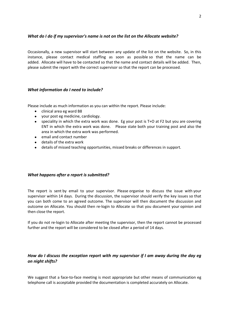#### *What do I do if my supervisor's name is not on the list on the Allocate website?*

Occasionally, a new supervisor will start between any update of the list on the website. So, in this instance, please contact medical staffing as soon as possible so that the name can be added. Allocate will have to be contacted so that the name and contact details will be added. Then, please submit the report with the correct supervisor so that the report can be processed.

#### *What information do I need to include?*

Please include as much information as you can within the report. Please include:

- clinical area eg ward B8
- your post eg medicine, cardiology.
- speciality in which the extra work was done. Eg your post is T+O at F2 but you are covering ENT in which the extra work was done. Please state both your training post and also the area in which the extra work was performed.
- email and contact number
- details of the extra work
- details of missed teaching opportunities, missed breaks or differences in support.

#### *What happens after a report is submitted?*

The report is sent by email to your supervisor. Please organise to discuss the issue with your supervisor within 14 days. During the discussion, the supervisor should verify the key issues so that you can both come to an agreed outcome. The supervisor will then document the discussion and outcome on Allocate. You should then re-login to Allocate so that you document your opinion and then close the report.

If you do not re-login to Allocate after meeting the supervisor, then the report cannot be processed further and the report will be considered to be closed after a period of 14 days.

### *How do I discuss the exception report with my supervisor if I am away during the day eg on night shifts?*

We suggest that a face-to-face meeting is most appropriate but other means of communication eg telephone call is acceptable provided the documentation is completed accurately on Allocate.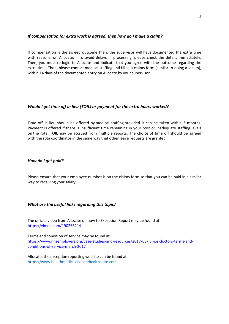#### *If compensation for extra work is agreed, then how do I make a claim?*

If compensation is the agreed outcome then, the supervisor will have documented the extra time with reasons, on Allocate. To avoid delays in processing, please check the details immediately. Then, you must re-login to Allocate and indicate that you agree with the outcome regarding the extra time. Then, please contact medical staffing and fill in a claims form (similar to doing a locum), within 14 days of the documented entry on Allocate by your supervisor.

#### *Would I get time off in lieu (TOIL) or payment for the extra hours worked?*

Time off in lieu should be offered by medical staffing provided it can be taken within 3 months. Payment is offered if there is insufficient time remaining in your post or inadequate staffing levels on the rota. TOIL may be accrued from multiple reports. The choice of time off should be agreed with the rota coordinator in the same way that other leave requests are granted.

#### *How do I get paid?*

Please ensure that your employee number is on the claims form so that you can be paid in a similar way to receiving your salary.

#### *What are the useful links regarding this topic?*

The official video from Allocate on how to Exception Report may be found at <https://vimeo.com/190266214>

Terms and condition of service may be found at [https://www.nhsemployers.org/case-studies-and-resources/2017/03/junior-doctors-terms-and](https://www.nhsemployers.org/case-studies-and-resources/2017/03/junior-doctors-terms-and-conditions-of-service-march-2017)[conditions-of-service-march-2017](https://www.nhsemployers.org/case-studies-and-resources/2017/03/junior-doctors-terms-and-conditions-of-service-march-2017)

Allocate, the exception reporting website can be found at [https://www.healthmedics.allocatehealthsuite.com](https://www.healthmedics.allocatehealthsuite.com/)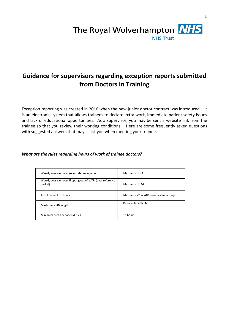

# **Guidance for supervisors regarding exception reports submitted from Doctors in Training**

Exception reporting was created in 2016 when the new junior doctor contract was introduced. It is an electronic system that allows trainees to declare extra work, immediate patient safety issues and lack of educational opportunities. As a supervisor, you may be sent a website link from the trainee so that you review their working conditions. Here are some frequently asked questions with suggested answers that may assist you when meeting your trainee.

### *What are the rules regarding hours of work of trainee doctors?*

| Weekly average hours (over reference period)                         | Maximum of 48                         |
|----------------------------------------------------------------------|---------------------------------------|
| Weekly average hours if opting out of WTR (over reference<br>period) | Maximum of 56                         |
| Absolute limit on hours                                              | Maximum 72 in ANY seven calendar days |
| Maximum shift length                                                 | 13 hours in ANY 24                    |
| Minimum break between duties                                         | 11 hours                              |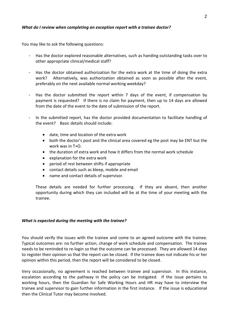### *What do I review when completing an exception report with a trainee doctor?*

You may like to ask the following questions:

- Has the doctor explored reasonable alternatives, such as handing outstanding tasks over to other appropriate clinical/medical staff?
- Has the doctor obtained authorization for the extra work at the time of doing the extra work? Alternatively, was authorization obtained as soon as possible after the event, preferably on the next available normal working weekday?
- Has the doctor submitted the report within 7 days of the event, if compensation by payment is requested? If there is no claim for payment, then up to 14 days are allowed from the date of the event to the date of submission of the report.
- In the submitted report, has the doctor provided documentation to facilitate handling of the event? Basic details should include:
	- date, time and location of the extra work
	- both the doctor's post and the clinical area covered eg the post may be ENT but the work was in T+O.
	- the duration of extra work and how it differs from the normal work schedule
	- explanation for the extra work
	- period of rest between shifts if appropriate
	- contact details such as bleep, mobile and email
	- name and contact details of supervisor.

These details are needed for further processing. If they are absent, then another opportunity during which they can included will be at the time of your meeting with the trainee.

#### *What is expected during the meeting with the trainee?*

You should verify the issues with the trainee and come to an agreed outcome with the trainee. Typical outcomes are: no further action, change of work schedule and compensation. The trainee needs to be reminded to re-login so that the outcome can be processed. They are allowed 14 days to register their opinion so that the report can be closed. If the trainee does not indicate his or her opinion within this period, then the report will be considered to be closed.

Very occasionally, no agreement is reached between trainee and supervisor. In this instance, escalation according to the pathway in the policy can be instigated. If the issue pertains to working hours, then the Guardian for Safe Working Hours and HR may have to interview the trainee and supervisor to gain further information in the first instance. If the issue is educational then the Clinical Tutor may become involved.